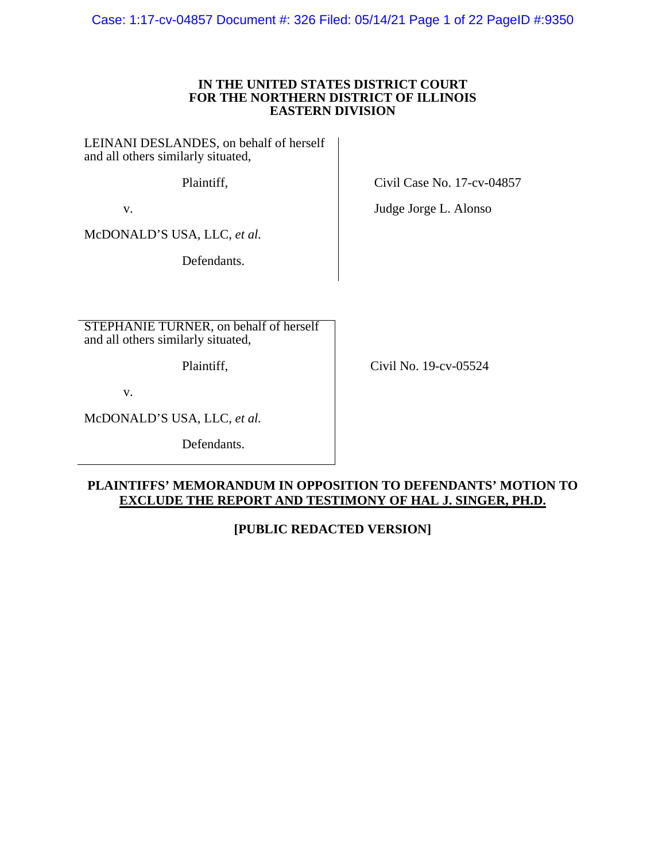Case: 1:17-cv-04857 Document #: 326 Filed: 05/14/21 Page 1 of 22 PageID #:9350

### **IN THE UNITED STATES DISTRICT COURT FOR THE NORTHERN DISTRICT OF ILLINOIS EASTERN DIVISION**

LEINANI DESLANDES, on behalf of herself and all others similarly situated,

Plaintiff,

v.

McDONALD'S USA, LLC, *et al.*

Defendants.

STEPHANIE TURNER, on behalf of herself and all others similarly situated,

Plaintiff,

Civil No. 19-cv-05524

Civil Case No. 17-cv-04857

Judge Jorge L. Alonso

v.

McDONALD'S USA, LLC, *et al.*

Defendants.

### **PLAINTIFFS' MEMORANDUM IN OPPOSITION TO DEFENDANTS' MOTION TO EXCLUDE THE REPORT AND TESTIMONY OF HAL J. SINGER, PH.D.**

# **[PUBLIC REDACTED VERSION]**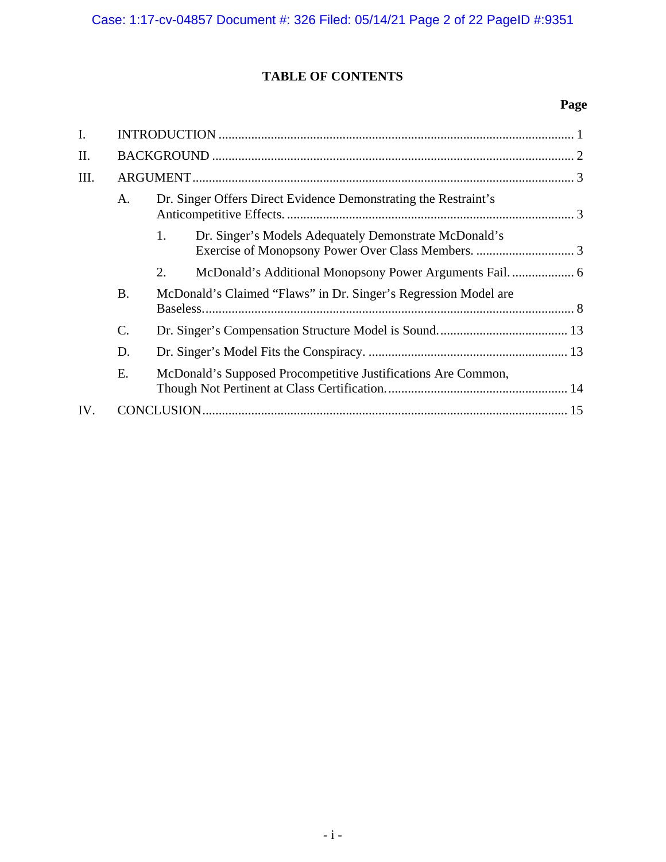# **TABLE OF CONTENTS**

# **Page**

| I.   |           |                                                                 |                                                                 |  |  |  |
|------|-----------|-----------------------------------------------------------------|-----------------------------------------------------------------|--|--|--|
| II.  |           |                                                                 |                                                                 |  |  |  |
| III. |           |                                                                 |                                                                 |  |  |  |
|      | A.        |                                                                 | Dr. Singer Offers Direct Evidence Demonstrating the Restraint's |  |  |  |
|      |           | 1.                                                              | Dr. Singer's Models Adequately Demonstrate McDonald's           |  |  |  |
|      |           | 2.                                                              |                                                                 |  |  |  |
|      | <b>B.</b> | McDonald's Claimed "Flaws" in Dr. Singer's Regression Model are |                                                                 |  |  |  |
|      | C.        |                                                                 |                                                                 |  |  |  |
|      | D.        |                                                                 |                                                                 |  |  |  |
|      | E.        |                                                                 | McDonald's Supposed Procompetitive Justifications Are Common,   |  |  |  |
| IV.  |           |                                                                 |                                                                 |  |  |  |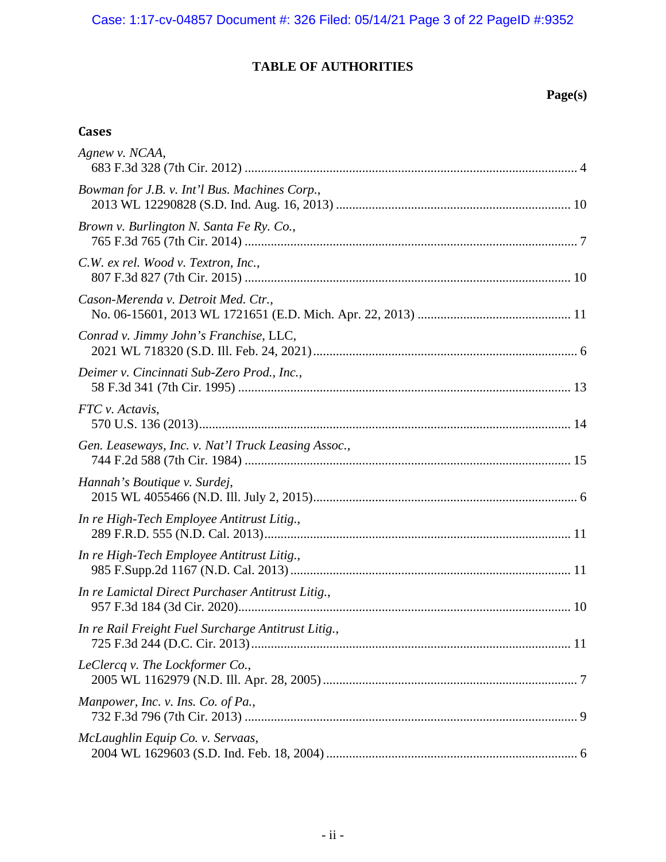# **TABLE OF AUTHORITIES**

## **Page(s)**

# **Cases**

| Agnew v. NCAA,                                      |
|-----------------------------------------------------|
| Bowman for J.B. v. Int'l Bus. Machines Corp.,       |
| Brown v. Burlington N. Santa Fe Ry. Co.,            |
| C.W. ex rel. Wood v. Textron, Inc.,                 |
| Cason-Merenda v. Detroit Med. Ctr.,                 |
| Conrad v. Jimmy John's Franchise, LLC,              |
| Deimer v. Cincinnati Sub-Zero Prod., Inc.,          |
| FTC v. Actavis,                                     |
| Gen. Leaseways, Inc. v. Nat'l Truck Leasing Assoc., |
| Hannah's Boutique v. Surdej,                        |
| In re High-Tech Employee Antitrust Litig.,          |
| In re High-Tech Employee Antitrust Litig.,          |
| In re Lamictal Direct Purchaser Antitrust Litig.,   |
| In re Rail Freight Fuel Surcharge Antitrust Litig., |
| LeClercq v. The Lockformer Co.,                     |
| Manpower, Inc. v. Ins. Co. of Pa.,                  |
| McLaughlin Equip Co. v. Servaas,                    |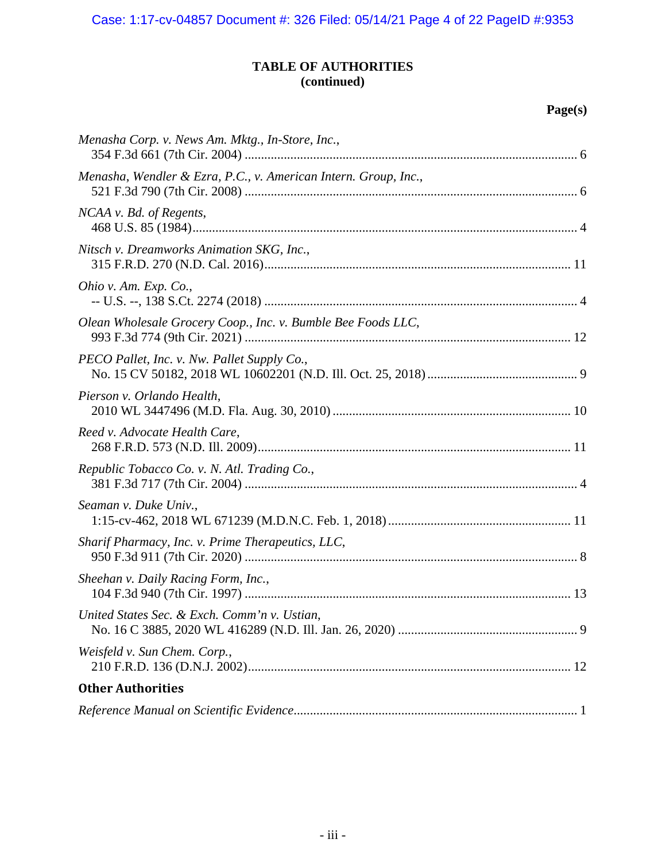## **TABLE OF AUTHORITIES (continued)**

# **Page(s)**

| Menasha Corp. v. News Am. Mktg., In-Store, Inc.,                |  |
|-----------------------------------------------------------------|--|
| Menasha, Wendler & Ezra, P.C., v. American Intern. Group, Inc., |  |
| NCAA v. Bd. of Regents,                                         |  |
| Nitsch v. Dreamworks Animation SKG, Inc.,                       |  |
| Ohio v. Am. Exp. Co.,                                           |  |
| Olean Wholesale Grocery Coop., Inc. v. Bumble Bee Foods LLC,    |  |
| PECO Pallet, Inc. v. Nw. Pallet Supply Co.,                     |  |
| Pierson v. Orlando Health,                                      |  |
| Reed v. Advocate Health Care,                                   |  |
| Republic Tobacco Co. v. N. Atl. Trading Co.,                    |  |
| Seaman v. Duke Univ.,                                           |  |
| Sharif Pharmacy, Inc. v. Prime Therapeutics, LLC,               |  |
| Sheehan v. Daily Racing Form, Inc.,                             |  |
| United States Sec. & Exch. Comm'n v. Ustian,                    |  |
| Weisfeld v. Sun Chem. Corp.,                                    |  |
| <b>Other Authorities</b>                                        |  |
|                                                                 |  |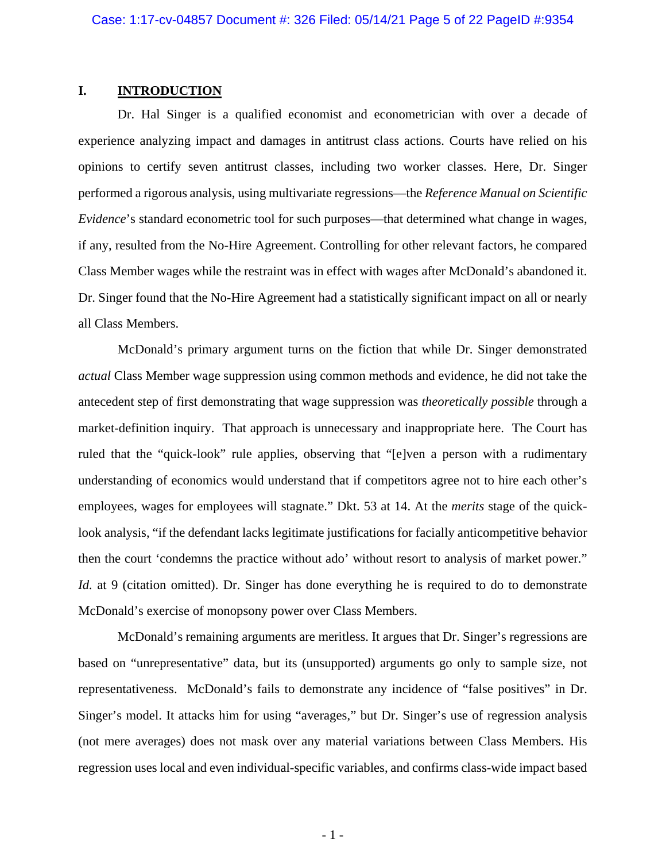### **I. INTRODUCTION**

Dr. Hal Singer is a qualified economist and econometrician with over a decade of experience analyzing impact and damages in antitrust class actions. Courts have relied on his opinions to certify seven antitrust classes, including two worker classes. Here, Dr. Singer performed a rigorous analysis, using multivariate regressions—the *Reference Manual on Scientific Evidence*'s standard econometric tool for such purposes—that determined what change in wages, if any, resulted from the No-Hire Agreement. Controlling for other relevant factors, he compared Class Member wages while the restraint was in effect with wages after McDonald's abandoned it. Dr. Singer found that the No-Hire Agreement had a statistically significant impact on all or nearly all Class Members.

McDonald's primary argument turns on the fiction that while Dr. Singer demonstrated *actual* Class Member wage suppression using common methods and evidence, he did not take the antecedent step of first demonstrating that wage suppression was *theoretically possible* through a market-definition inquiry. That approach is unnecessary and inappropriate here. The Court has ruled that the "quick-look" rule applies, observing that "[e]ven a person with a rudimentary understanding of economics would understand that if competitors agree not to hire each other's employees, wages for employees will stagnate." Dkt. 53 at 14. At the *merits* stage of the quicklook analysis, "if the defendant lacks legitimate justifications for facially anticompetitive behavior then the court 'condemns the practice without ado' without resort to analysis of market power." *Id.* at 9 (citation omitted). Dr. Singer has done everything he is required to do to demonstrate McDonald's exercise of monopsony power over Class Members.

McDonald's remaining arguments are meritless. It argues that Dr. Singer's regressions are based on "unrepresentative" data, but its (unsupported) arguments go only to sample size, not representativeness. McDonald's fails to demonstrate any incidence of "false positives" in Dr. Singer's model. It attacks him for using "averages," but Dr. Singer's use of regression analysis (not mere averages) does not mask over any material variations between Class Members. His regression uses local and even individual-specific variables, and confirms class-wide impact based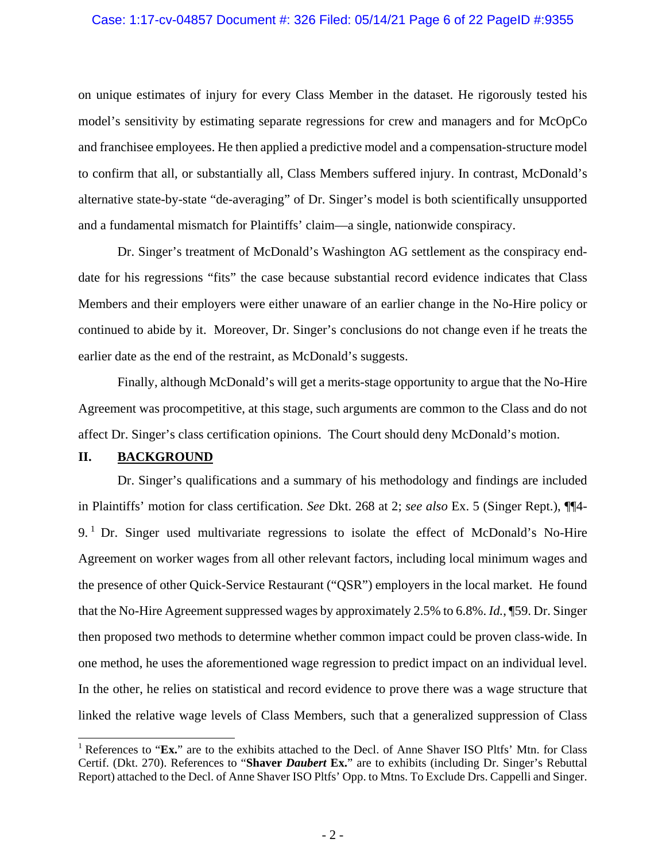#### Case: 1:17-cv-04857 Document #: 326 Filed: 05/14/21 Page 6 of 22 PageID #:9355

on unique estimates of injury for every Class Member in the dataset. He rigorously tested his model's sensitivity by estimating separate regressions for crew and managers and for McOpCo and franchisee employees. He then applied a predictive model and a compensation-structure model to confirm that all, or substantially all, Class Members suffered injury. In contrast, McDonald's alternative state-by-state "de-averaging" of Dr. Singer's model is both scientifically unsupported and a fundamental mismatch for Plaintiffs' claim—a single, nationwide conspiracy.

Dr. Singer's treatment of McDonald's Washington AG settlement as the conspiracy enddate for his regressions "fits" the case because substantial record evidence indicates that Class Members and their employers were either unaware of an earlier change in the No-Hire policy or continued to abide by it. Moreover, Dr. Singer's conclusions do not change even if he treats the earlier date as the end of the restraint, as McDonald's suggests.

Finally, although McDonald's will get a merits-stage opportunity to argue that the No-Hire Agreement was procompetitive, at this stage, such arguments are common to the Class and do not affect Dr. Singer's class certification opinions. The Court should deny McDonald's motion.

### **II. BACKGROUND**

Dr. Singer's qualifications and a summary of his methodology and findings are included in Plaintiffs' motion for class certification. *See* Dkt. 268 at 2; *see also* Ex. 5 (Singer Rept.), ¶¶4-  $9<sup>1</sup>$  Dr. Singer used multivariate regressions to isolate the effect of McDonald's No-Hire Agreement on worker wages from all other relevant factors, including local minimum wages and the presence of other Quick-Service Restaurant ("QSR") employers in the local market. He found that the No-Hire Agreement suppressed wages by approximately 2.5% to 6.8%. *Id.*, ¶59. Dr. Singer then proposed two methods to determine whether common impact could be proven class-wide. In one method, he uses the aforementioned wage regression to predict impact on an individual level. In the other, he relies on statistical and record evidence to prove there was a wage structure that linked the relative wage levels of Class Members, such that a generalized suppression of Class

<sup>&</sup>lt;sup>1</sup> References to "**Ex.**" are to the exhibits attached to the Decl. of Anne Shaver ISO Pltfs' Mtn. for Class Certif. (Dkt. 270). References to "**Shaver** *Daubert* **Ex.**" are to exhibits (including Dr. Singer's Rebuttal Report) attached to the Decl. of Anne Shaver ISO Pltfs' Opp. to Mtns. To Exclude Drs. Cappelli and Singer.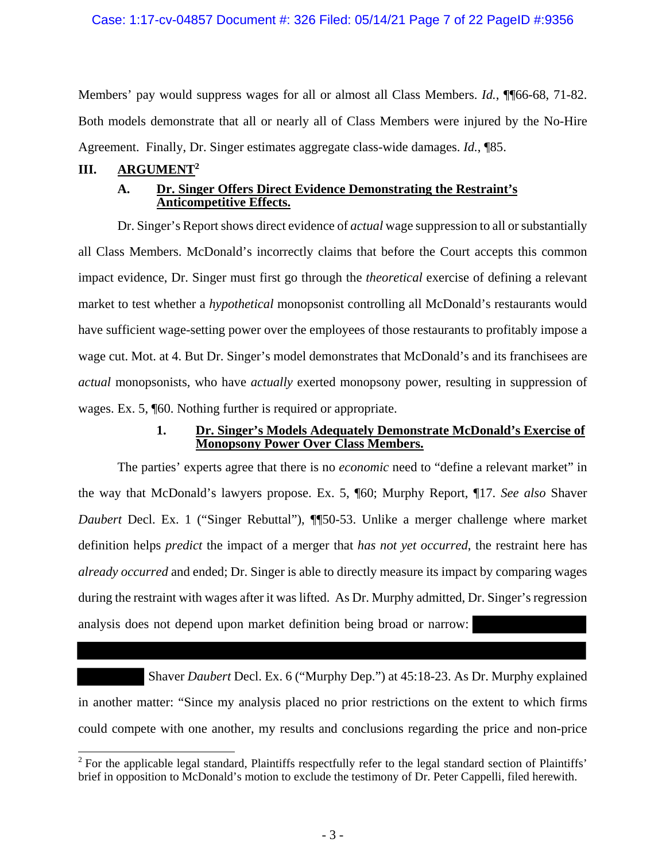### Case: 1:17-cv-04857 Document #: 326 Filed: 05/14/21 Page 7 of 22 PageID #:9356

Members' pay would suppress wages for all or almost all Class Members. *Id.*, ¶[66-68, 71-82. Both models demonstrate that all or nearly all of Class Members were injured by the No-Hire Agreement. Finally, Dr. Singer estimates aggregate class-wide damages. *Id.*, ¶85.

### **III. ARGUMENT2**

### **A. Dr. Singer Offers Direct Evidence Demonstrating the Restraint's Anticompetitive Effects.**

Dr. Singer's Report shows direct evidence of *actual* wage suppression to all or substantially all Class Members. McDonald's incorrectly claims that before the Court accepts this common impact evidence, Dr. Singer must first go through the *theoretical* exercise of defining a relevant market to test whether a *hypothetical* monopsonist controlling all McDonald's restaurants would have sufficient wage-setting power over the employees of those restaurants to profitably impose a wage cut. Mot. at 4. But Dr. Singer's model demonstrates that McDonald's and its franchisees are *actual* monopsonists, who have *actually* exerted monopsony power, resulting in suppression of wages. Ex. 5,  $\sqrt[6]{60}$ . Nothing further is required or appropriate.

### **1. Dr. Singer's Models Adequately Demonstrate McDonald's Exercise of Monopsony Power Over Class Members.**

The parties' experts agree that there is no *economic* need to "define a relevant market" in the way that McDonald's lawyers propose. Ex. 5, ¶60; Murphy Report, ¶17. *See also* Shaver *Daubert* Decl. Ex. 1 ("Singer Rebuttal"), **[**[50-53. Unlike a merger challenge where market definition helps *predict* the impact of a merger that *has not yet occurred*, the restraint here has *already occurred* and ended; Dr. Singer is able to directly measure its impact by comparing wages during the restraint with wages after it was lifted. As Dr. Murphy admitted, Dr. Singer's regression analysis does not depend upon market definition being broad or narrow:

 Shaver *Daubert* Decl. Ex. 6 ("Murphy Dep.") at 45:18-23. As Dr. Murphy explained in another matter: "Since my analysis placed no prior restrictions on the extent to which firms could compete with one another, my results and conclusions regarding the price and non-price

<sup>&</sup>lt;sup>2</sup> For the applicable legal standard, Plaintiffs respectfully refer to the legal standard section of Plaintiffs' brief in opposition to McDonald's motion to exclude the testimony of Dr. Peter Cappelli, filed herewith.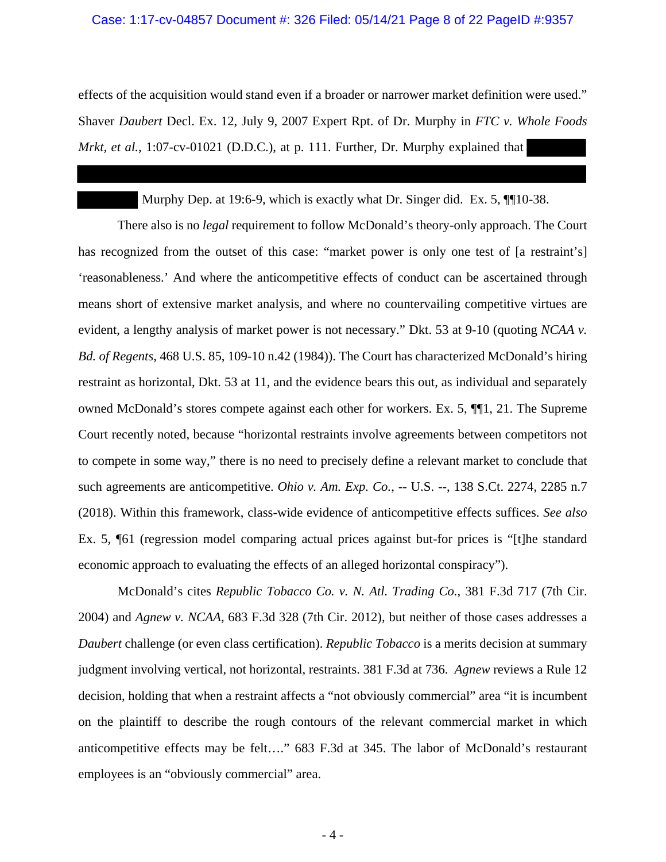#### Case: 1:17-cv-04857 Document #: 326 Filed: 05/14/21 Page 8 of 22 PageID #:9357

effects of the acquisition would stand even if a broader or narrower market definition were used." Shaver *Daubert* Decl. Ex. 12, July 9, 2007 Expert Rpt. of Dr. Murphy in *FTC v. Whole Foods Mrkt, et al.,* 1:07-cv-01021 (D.D.C.), at p. 111. Further, Dr. Murphy explained that

Murphy Dep. at 19:6-9, which is exactly what Dr. Singer did. Ex. 5,  $\P$ [10-38.

There also is no *legal* requirement to follow McDonald's theory-only approach. The Court has recognized from the outset of this case: "market power is only one test of [a restraint's] 'reasonableness.' And where the anticompetitive effects of conduct can be ascertained through means short of extensive market analysis, and where no countervailing competitive virtues are evident, a lengthy analysis of market power is not necessary." Dkt. 53 at 9-10 (quoting *NCAA v. Bd. of Regents*, 468 U.S. 85, 109-10 n.42 (1984)). The Court has characterized McDonald's hiring restraint as horizontal, Dkt. 53 at 11, and the evidence bears this out, as individual and separately owned McDonald's stores compete against each other for workers. Ex. 5, ¶¶1, 21. The Supreme Court recently noted, because "horizontal restraints involve agreements between competitors not to compete in some way," there is no need to precisely define a relevant market to conclude that such agreements are anticompetitive. *Ohio v. Am. Exp. Co.*, -- U.S. --, 138 S.Ct. 2274, 2285 n.7 (2018). Within this framework, class-wide evidence of anticompetitive effects suffices. *See also* Ex. 5, ¶61 (regression model comparing actual prices against but-for prices is "[t]he standard economic approach to evaluating the effects of an alleged horizontal conspiracy").

McDonald's cites *Republic Tobacco Co. v. N. Atl. Trading Co.*, 381 F.3d 717 (7th Cir. 2004) and *Agnew v. NCAA*, 683 F.3d 328 (7th Cir. 2012), but neither of those cases addresses a *Daubert* challenge (or even class certification). *Republic Tobacco* is a merits decision at summary judgment involving vertical, not horizontal, restraints. 381 F.3d at 736. *Agnew* reviews a Rule 12 decision, holding that when a restraint affects a "not obviously commercial" area "it is incumbent on the plaintiff to describe the rough contours of the relevant commercial market in which anticompetitive effects may be felt…." 683 F.3d at 345. The labor of McDonald's restaurant employees is an "obviously commercial" area.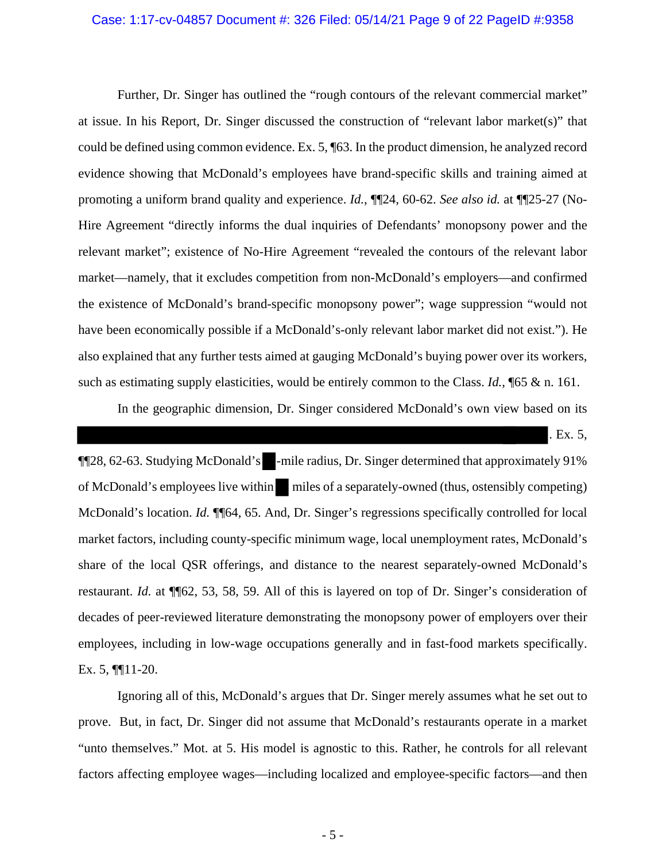#### Case: 1:17-cv-04857 Document #: 326 Filed: 05/14/21 Page 9 of 22 PageID #:9358

Further, Dr. Singer has outlined the "rough contours of the relevant commercial market" at issue. In his Report, Dr. Singer discussed the construction of "relevant labor market(s)" that could be defined using common evidence. Ex. 5, ¶63. In the product dimension, he analyzed record evidence showing that McDonald's employees have brand-specific skills and training aimed at promoting a uniform brand quality and experience. *Id.*, ¶¶24, 60-62. *See also id.* at ¶¶25-27 (No-Hire Agreement "directly informs the dual inquiries of Defendants' monopsony power and the relevant market"; existence of No-Hire Agreement "revealed the contours of the relevant labor market—namely, that it excludes competition from non-McDonald's employers—and confirmed the existence of McDonald's brand-specific monopsony power"; wage suppression "would not have been economically possible if a McDonald's-only relevant labor market did not exist."). He also explained that any further tests aimed at gauging McDonald's buying power over its workers, such as estimating supply elasticities, would be entirely common to the Class. *Id.*, ¶65 & n. 161.

In the geographic dimension, Dr. Singer considered McDonald's own view based on its

. Ex. 5,

¶¶28, 62-63. Studying McDonald's -mile radius, Dr. Singer determined that approximately 91% of McDonald's employees live within miles of a separately-owned (thus, ostensibly competing) McDonald's location. *Id.* ¶¶64, 65. And, Dr. Singer's regressions specifically controlled for local market factors, including county-specific minimum wage, local unemployment rates, McDonald's share of the local QSR offerings, and distance to the nearest separately-owned McDonald's restaurant. *Id.* at ¶¶62, 53, 58, 59. All of this is layered on top of Dr. Singer's consideration of decades of peer-reviewed literature demonstrating the monopsony power of employers over their employees, including in low-wage occupations generally and in fast-food markets specifically. Ex. 5, ¶¶11-20.

Ignoring all of this, McDonald's argues that Dr. Singer merely assumes what he set out to prove. But, in fact, Dr. Singer did not assume that McDonald's restaurants operate in a market "unto themselves." Mot. at 5. His model is agnostic to this. Rather, he controls for all relevant factors affecting employee wages—including localized and employee-specific factors—and then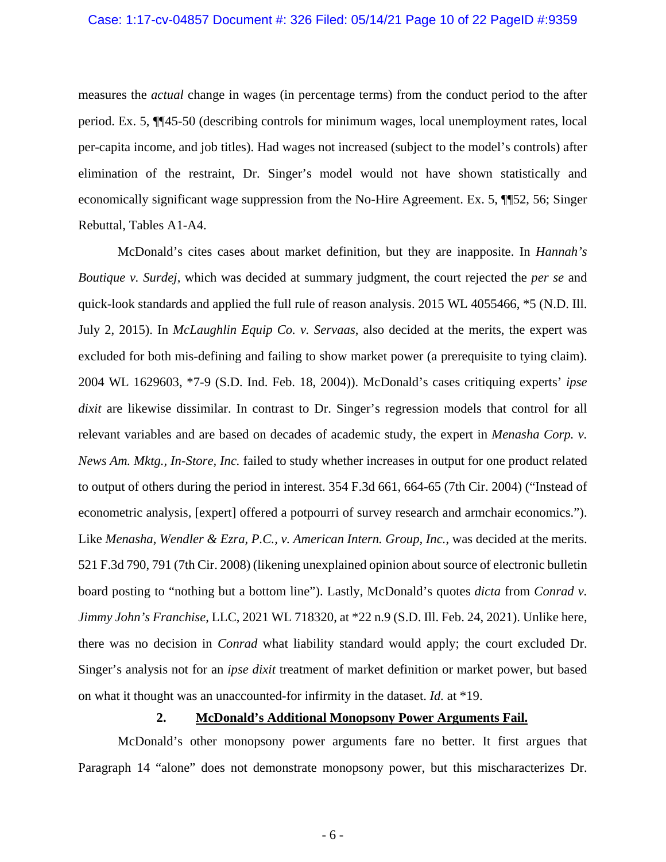#### Case: 1:17-cv-04857 Document #: 326 Filed: 05/14/21 Page 10 of 22 PageID #:9359

measures the *actual* change in wages (in percentage terms) from the conduct period to the after period. Ex. 5, ¶¶45-50 (describing controls for minimum wages, local unemployment rates, local per-capita income, and job titles). Had wages not increased (subject to the model's controls) after elimination of the restraint, Dr. Singer's model would not have shown statistically and economically significant wage suppression from the No-Hire Agreement. Ex. 5, ¶¶52, 56; Singer Rebuttal, Tables A1-A4.

McDonald's cites cases about market definition, but they are inapposite. In *Hannah's Boutique v. Surdej*, which was decided at summary judgment, the court rejected the *per se* and quick-look standards and applied the full rule of reason analysis. 2015 WL 4055466, \*5 (N.D. Ill. July 2, 2015). In *McLaughlin Equip Co. v. Servaas*, also decided at the merits, the expert was excluded for both mis-defining and failing to show market power (a prerequisite to tying claim). 2004 WL 1629603, \*7-9 (S.D. Ind. Feb. 18, 2004)). McDonald's cases critiquing experts' *ipse dixit* are likewise dissimilar. In contrast to Dr. Singer's regression models that control for all relevant variables and are based on decades of academic study, the expert in *Menasha Corp. v. News Am. Mktg., In-Store, Inc.* failed to study whether increases in output for one product related to output of others during the period in interest. 354 F.3d 661, 664-65 (7th Cir. 2004) ("Instead of econometric analysis, [expert] offered a potpourri of survey research and armchair economics."). Like *Menasha*, *Wendler & Ezra, P.C., v. American Intern. Group, Inc.*, was decided at the merits. 521 F.3d 790, 791 (7th Cir. 2008) (likening unexplained opinion about source of electronic bulletin board posting to "nothing but a bottom line"). Lastly, McDonald's quotes *dicta* from *Conrad v. Jimmy John's Franchise*, LLC, 2021 WL 718320, at \*22 n.9 (S.D. Ill. Feb. 24, 2021). Unlike here, there was no decision in *Conrad* what liability standard would apply; the court excluded Dr. Singer's analysis not for an *ipse dixit* treatment of market definition or market power, but based on what it thought was an unaccounted-for infirmity in the dataset. *Id.* at \*19.

### **2. McDonald's Additional Monopsony Power Arguments Fail.**

McDonald's other monopsony power arguments fare no better. It first argues that Paragraph 14 "alone" does not demonstrate monopsony power, but this mischaracterizes Dr.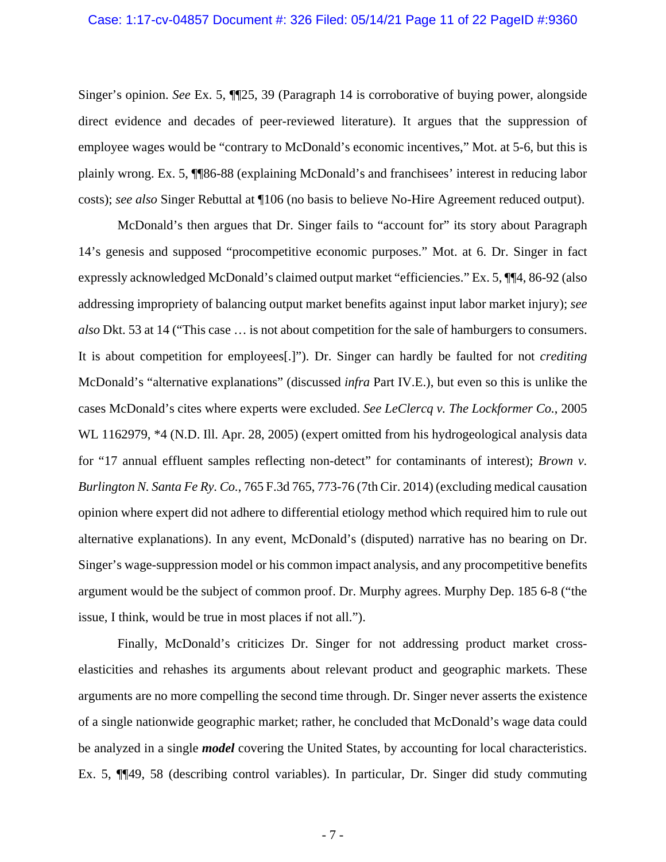#### Case: 1:17-cv-04857 Document #: 326 Filed: 05/14/21 Page 11 of 22 PageID #:9360

Singer's opinion. *See* Ex. 5, ¶¶25, 39 (Paragraph 14 is corroborative of buying power, alongside direct evidence and decades of peer-reviewed literature). It argues that the suppression of employee wages would be "contrary to McDonald's economic incentives," Mot. at 5-6, but this is plainly wrong. Ex. 5, ¶¶86-88 (explaining McDonald's and franchisees' interest in reducing labor costs); *see also* Singer Rebuttal at ¶106 (no basis to believe No-Hire Agreement reduced output).

McDonald's then argues that Dr. Singer fails to "account for" its story about Paragraph 14's genesis and supposed "procompetitive economic purposes." Mot. at 6. Dr. Singer in fact expressly acknowledged McDonald's claimed output market "efficiencies." Ex. 5, ¶¶4, 86-92 (also addressing impropriety of balancing output market benefits against input labor market injury); *see also* Dkt. 53 at 14 ("This case … is not about competition for the sale of hamburgers to consumers. It is about competition for employees[.]"). Dr. Singer can hardly be faulted for not *crediting* McDonald's "alternative explanations" (discussed *infra* Part IV.E.), but even so this is unlike the cases McDonald's cites where experts were excluded. *See LeClercq v. The Lockformer Co.*, 2005 WL 1162979, \*4 (N.D. Ill. Apr. 28, 2005) (expert omitted from his hydrogeological analysis data for "17 annual effluent samples reflecting non-detect" for contaminants of interest); *Brown v. Burlington N. Santa Fe Ry. Co.*, 765 F.3d 765, 773-76 (7th Cir. 2014) (excluding medical causation opinion where expert did not adhere to differential etiology method which required him to rule out alternative explanations). In any event, McDonald's (disputed) narrative has no bearing on Dr. Singer's wage-suppression model or his common impact analysis, and any procompetitive benefits argument would be the subject of common proof. Dr. Murphy agrees. Murphy Dep. 185 6-8 ("the issue, I think, would be true in most places if not all.").

Finally, McDonald's criticizes Dr. Singer for not addressing product market crosselasticities and rehashes its arguments about relevant product and geographic markets. These arguments are no more compelling the second time through. Dr. Singer never asserts the existence of a single nationwide geographic market; rather, he concluded that McDonald's wage data could be analyzed in a single *model* covering the United States, by accounting for local characteristics. Ex. 5, ¶¶49, 58 (describing control variables). In particular, Dr. Singer did study commuting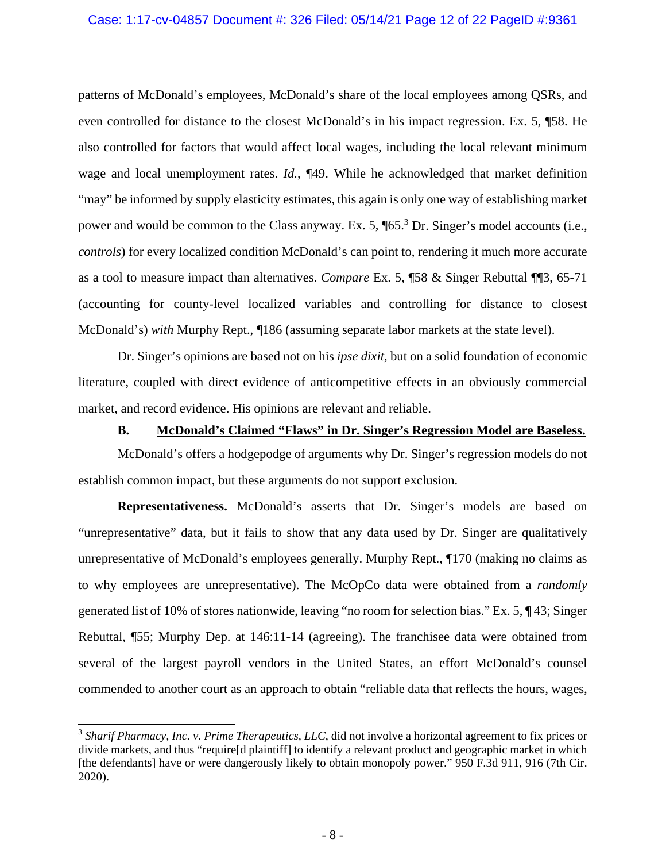#### Case: 1:17-cv-04857 Document #: 326 Filed: 05/14/21 Page 12 of 22 PageID #:9361

patterns of McDonald's employees, McDonald's share of the local employees among QSRs, and even controlled for distance to the closest McDonald's in his impact regression. Ex. 5, ¶58. He also controlled for factors that would affect local wages, including the local relevant minimum wage and local unemployment rates. *Id.*, ¶49. While he acknowledged that market definition "may" be informed by supply elasticity estimates, this again is only one way of establishing market power and would be common to the Class anyway. Ex. 5,  $\sqrt{65}$ .<sup>3</sup> Dr. Singer's model accounts (i.e., *controls*) for every localized condition McDonald's can point to, rendering it much more accurate as a tool to measure impact than alternatives. *Compare* Ex. 5, ¶58 & Singer Rebuttal ¶¶3, 65-71 (accounting for county-level localized variables and controlling for distance to closest McDonald's) *with* Murphy Rept., ¶186 (assuming separate labor markets at the state level).

Dr. Singer's opinions are based not on his *ipse dixit*, but on a solid foundation of economic literature, coupled with direct evidence of anticompetitive effects in an obviously commercial market, and record evidence. His opinions are relevant and reliable.

### **B. McDonald's Claimed "Flaws" in Dr. Singer's Regression Model are Baseless.**

McDonald's offers a hodgepodge of arguments why Dr. Singer's regression models do not establish common impact, but these arguments do not support exclusion.

**Representativeness.** McDonald's asserts that Dr. Singer's models are based on "unrepresentative" data, but it fails to show that any data used by Dr. Singer are qualitatively unrepresentative of McDonald's employees generally. Murphy Rept., ¶170 (making no claims as to why employees are unrepresentative). The McOpCo data were obtained from a *randomly* generated list of 10% of stores nationwide, leaving "no room for selection bias." Ex. 5, ¶ 43; Singer Rebuttal, ¶55; Murphy Dep. at 146:11-14 (agreeing). The franchisee data were obtained from several of the largest payroll vendors in the United States, an effort McDonald's counsel commended to another court as an approach to obtain "reliable data that reflects the hours, wages,

 $\overline{a}$ 

<sup>&</sup>lt;sup>3</sup> Sharif Pharmacy, Inc. v. Prime Therapeutics, LLC, did not involve a horizontal agreement to fix prices or divide markets, and thus "require[d plaintiff] to identify a relevant product and geographic market in which [the defendants] have or were dangerously likely to obtain monopoly power." 950 F.3d 911, 916 (7th Cir. 2020).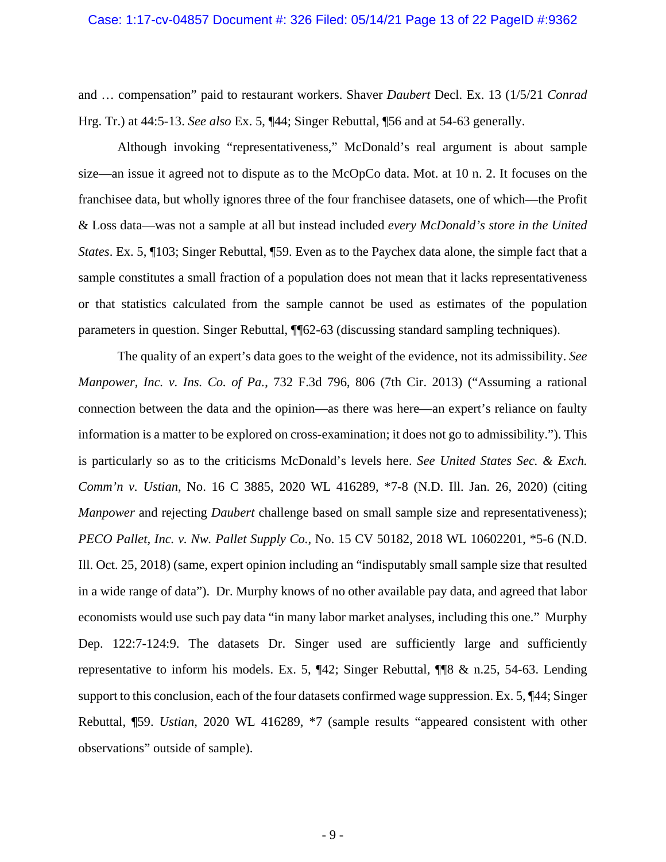#### Case: 1:17-cv-04857 Document #: 326 Filed: 05/14/21 Page 13 of 22 PageID #:9362

and … compensation" paid to restaurant workers. Shaver *Daubert* Decl. Ex. 13 (1/5/21 *Conrad* Hrg. Tr.) at 44:5-13. *See also* Ex. 5, ¶44; Singer Rebuttal, ¶56 and at 54-63 generally.

Although invoking "representativeness," McDonald's real argument is about sample size—an issue it agreed not to dispute as to the McOpCo data. Mot. at 10 n. 2. It focuses on the franchisee data, but wholly ignores three of the four franchisee datasets, one of which—the Profit & Loss data—was not a sample at all but instead included *every McDonald's store in the United States*. Ex. 5, ¶103; Singer Rebuttal, ¶59. Even as to the Paychex data alone, the simple fact that a sample constitutes a small fraction of a population does not mean that it lacks representativeness or that statistics calculated from the sample cannot be used as estimates of the population parameters in question. Singer Rebuttal, ¶¶62-63 (discussing standard sampling techniques).

The quality of an expert's data goes to the weight of the evidence, not its admissibility. *See Manpower, Inc. v. Ins. Co. of Pa.*, 732 F.3d 796, 806 (7th Cir. 2013) ("Assuming a rational connection between the data and the opinion—as there was here—an expert's reliance on faulty information is a matter to be explored on cross-examination; it does not go to admissibility."). This is particularly so as to the criticisms McDonald's levels here. *See United States Sec. & Exch. Comm'n v. Ustian*, No. 16 C 3885, 2020 WL 416289, \*7-8 (N.D. Ill. Jan. 26, 2020) (citing *Manpower* and rejecting *Daubert* challenge based on small sample size and representativeness); *PECO Pallet, Inc. v. Nw. Pallet Supply Co.*, No. 15 CV 50182, 2018 WL 10602201, \*5-6 (N.D. Ill. Oct. 25, 2018) (same, expert opinion including an "indisputably small sample size that resulted in a wide range of data"). Dr. Murphy knows of no other available pay data, and agreed that labor economists would use such pay data "in many labor market analyses, including this one." Murphy Dep. 122:7-124:9. The datasets Dr. Singer used are sufficiently large and sufficiently representative to inform his models. Ex. 5, ¶42; Singer Rebuttal, ¶¶8 & n.25, 54-63. Lending support to this conclusion, each of the four datasets confirmed wage suppression. Ex. 5, ¶44; Singer Rebuttal, ¶59. *Ustian*, 2020 WL 416289, \*7 (sample results "appeared consistent with other observations" outside of sample).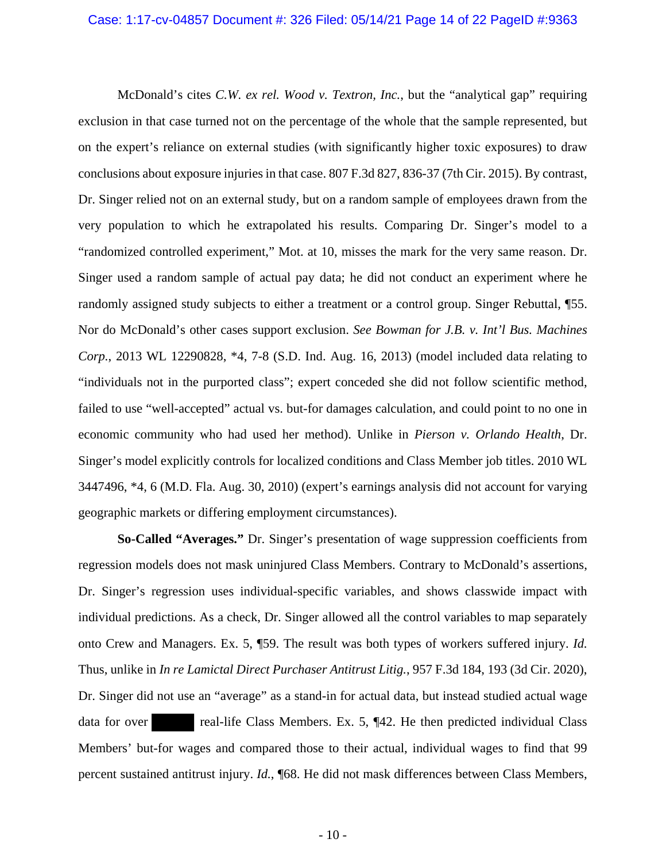McDonald's cites *C.W. ex rel. Wood v. Textron, Inc.*, but the "analytical gap" requiring exclusion in that case turned not on the percentage of the whole that the sample represented, but on the expert's reliance on external studies (with significantly higher toxic exposures) to draw conclusions about exposure injuries in that case. 807 F.3d 827, 836-37 (7th Cir. 2015). By contrast, Dr. Singer relied not on an external study, but on a random sample of employees drawn from the very population to which he extrapolated his results. Comparing Dr. Singer's model to a "randomized controlled experiment," Mot. at 10, misses the mark for the very same reason. Dr. Singer used a random sample of actual pay data; he did not conduct an experiment where he randomly assigned study subjects to either a treatment or a control group. Singer Rebuttal, ¶55. Nor do McDonald's other cases support exclusion. *See Bowman for J.B. v. Int'l Bus. Machines Corp.*, 2013 WL 12290828, \*4, 7-8 (S.D. Ind. Aug. 16, 2013) (model included data relating to "individuals not in the purported class"; expert conceded she did not follow scientific method, failed to use "well-accepted" actual vs. but-for damages calculation, and could point to no one in economic community who had used her method). Unlike in *Pierson v. Orlando Health*, Dr. Singer's model explicitly controls for localized conditions and Class Member job titles. 2010 WL 3447496, \*4, 6 (M.D. Fla. Aug. 30, 2010) (expert's earnings analysis did not account for varying geographic markets or differing employment circumstances).

**So-Called "Averages."** Dr. Singer's presentation of wage suppression coefficients from regression models does not mask uninjured Class Members. Contrary to McDonald's assertions, Dr. Singer's regression uses individual-specific variables, and shows classwide impact with individual predictions. As a check, Dr. Singer allowed all the control variables to map separately onto Crew and Managers. Ex. 5, ¶59. The result was both types of workers suffered injury. *Id.* Thus, unlike in *In re Lamictal Direct Purchaser Antitrust Litig.*, 957 F.3d 184, 193 (3d Cir. 2020), Dr. Singer did not use an "average" as a stand-in for actual data, but instead studied actual wage data for over real-life Class Members. Ex. 5, ¶42. He then predicted individual Class Members' but-for wages and compared those to their actual, individual wages to find that 99 percent sustained antitrust injury. *Id.*, ¶68. He did not mask differences between Class Members,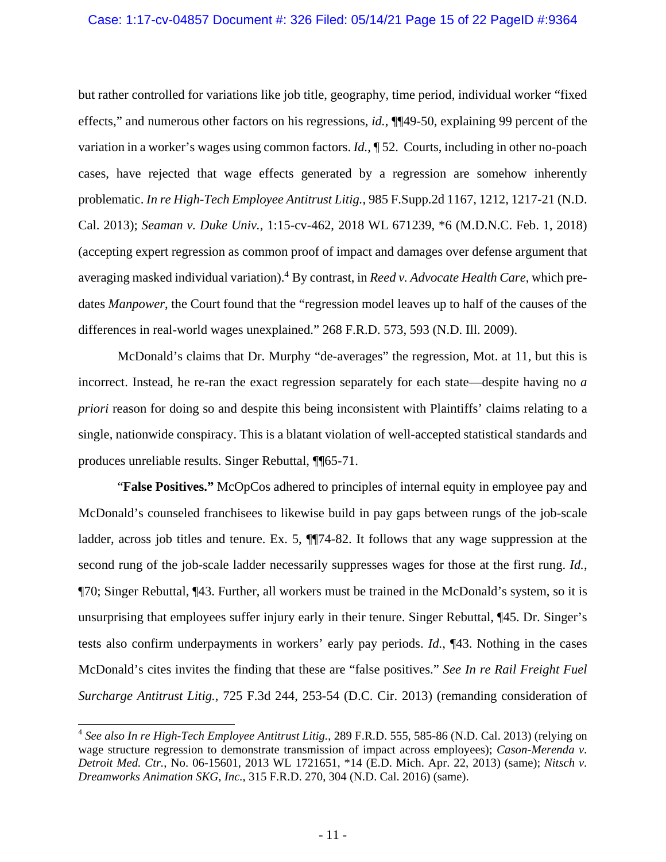#### Case: 1:17-cv-04857 Document #: 326 Filed: 05/14/21 Page 15 of 22 PageID #:9364

but rather controlled for variations like job title, geography, time period, individual worker "fixed effects," and numerous other factors on his regressions, *id.*, ¶¶49-50, explaining 99 percent of the variation in a worker's wages using common factors. *Id.*, ¶ 52. Courts, including in other no-poach cases, have rejected that wage effects generated by a regression are somehow inherently problematic. *In re High-Tech Employee Antitrust Litig.*, 985 F.Supp.2d 1167, 1212, 1217-21 (N.D. Cal. 2013); *Seaman v. Duke Univ.*, 1:15-cv-462, 2018 WL 671239, \*6 (M.D.N.C. Feb. 1, 2018) (accepting expert regression as common proof of impact and damages over defense argument that averaging masked individual variation).<sup>4</sup> By contrast, in *Reed v. Advocate Health Care*, which predates *Manpower*, the Court found that the "regression model leaves up to half of the causes of the differences in real-world wages unexplained." 268 F.R.D. 573, 593 (N.D. Ill. 2009).

McDonald's claims that Dr. Murphy "de-averages" the regression, Mot. at 11, but this is incorrect. Instead, he re-ran the exact regression separately for each state—despite having no *a priori* reason for doing so and despite this being inconsistent with Plaintiffs' claims relating to a single, nationwide conspiracy. This is a blatant violation of well-accepted statistical standards and produces unreliable results. Singer Rebuttal, ¶¶65-71.

 "**False Positives."** McOpCos adhered to principles of internal equity in employee pay and McDonald's counseled franchisees to likewise build in pay gaps between rungs of the job-scale ladder, across job titles and tenure. Ex. 5, ¶¶74-82. It follows that any wage suppression at the second rung of the job-scale ladder necessarily suppresses wages for those at the first rung. *Id.*, ¶70; Singer Rebuttal, ¶43. Further, all workers must be trained in the McDonald's system, so it is unsurprising that employees suffer injury early in their tenure. Singer Rebuttal, ¶45. Dr. Singer's tests also confirm underpayments in workers' early pay periods. *Id.*, ¶43. Nothing in the cases McDonald's cites invites the finding that these are "false positives." *See In re Rail Freight Fuel Surcharge Antitrust Litig.*, 725 F.3d 244, 253-54 (D.C. Cir. 2013) (remanding consideration of

 $\overline{a}$ 

<sup>4</sup> *See also In re High-Tech Employee Antitrust Litig.*, 289 F.R.D. 555, 585-86 (N.D. Cal. 2013) (relying on wage structure regression to demonstrate transmission of impact across employees); *Cason-Merenda v. Detroit Med. Ctr.*, No. 06-15601, 2013 WL 1721651, \*14 (E.D. Mich. Apr. 22, 2013) (same); *Nitsch v. Dreamworks Animation SKG, Inc.*, 315 F.R.D. 270, 304 (N.D. Cal. 2016) (same).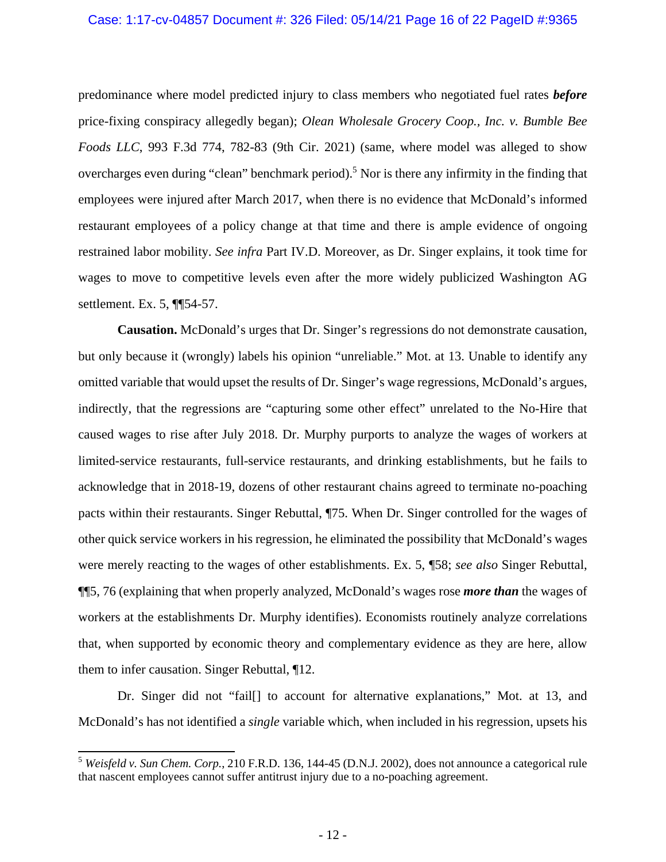#### Case: 1:17-cv-04857 Document #: 326 Filed: 05/14/21 Page 16 of 22 PageID #:9365

predominance where model predicted injury to class members who negotiated fuel rates *before* price-fixing conspiracy allegedly began); *Olean Wholesale Grocery Coop., Inc. v. Bumble Bee Foods LLC*, 993 F.3d 774, 782-83 (9th Cir. 2021) (same, where model was alleged to show overcharges even during "clean" benchmark period).<sup>5</sup> Nor is there any infirmity in the finding that employees were injured after March 2017, when there is no evidence that McDonald's informed restaurant employees of a policy change at that time and there is ample evidence of ongoing restrained labor mobility. *See infra* Part IV.D. Moreover, as Dr. Singer explains, it took time for wages to move to competitive levels even after the more widely publicized Washington AG settlement. Ex. 5, ¶¶54-57.

**Causation.** McDonald's urges that Dr. Singer's regressions do not demonstrate causation, but only because it (wrongly) labels his opinion "unreliable." Mot. at 13. Unable to identify any omitted variable that would upset the results of Dr. Singer's wage regressions, McDonald's argues, indirectly, that the regressions are "capturing some other effect" unrelated to the No-Hire that caused wages to rise after July 2018. Dr. Murphy purports to analyze the wages of workers at limited-service restaurants, full-service restaurants, and drinking establishments, but he fails to acknowledge that in 2018-19, dozens of other restaurant chains agreed to terminate no-poaching pacts within their restaurants. Singer Rebuttal, ¶75. When Dr. Singer controlled for the wages of other quick service workers in his regression, he eliminated the possibility that McDonald's wages were merely reacting to the wages of other establishments. Ex. 5, ¶58; *see also* Singer Rebuttal, ¶¶5, 76 (explaining that when properly analyzed, McDonald's wages rose *more than* the wages of workers at the establishments Dr. Murphy identifies). Economists routinely analyze correlations that, when supported by economic theory and complementary evidence as they are here, allow them to infer causation. Singer Rebuttal, ¶12.

Dr. Singer did not "fail  $\vert$  to account for alternative explanations," Mot. at 13, and McDonald's has not identified a *single* variable which, when included in his regression, upsets his

1

<sup>5</sup> *Weisfeld v. Sun Chem. Corp.*, 210 F.R.D. 136, 144-45 (D.N.J. 2002), does not announce a categorical rule that nascent employees cannot suffer antitrust injury due to a no-poaching agreement.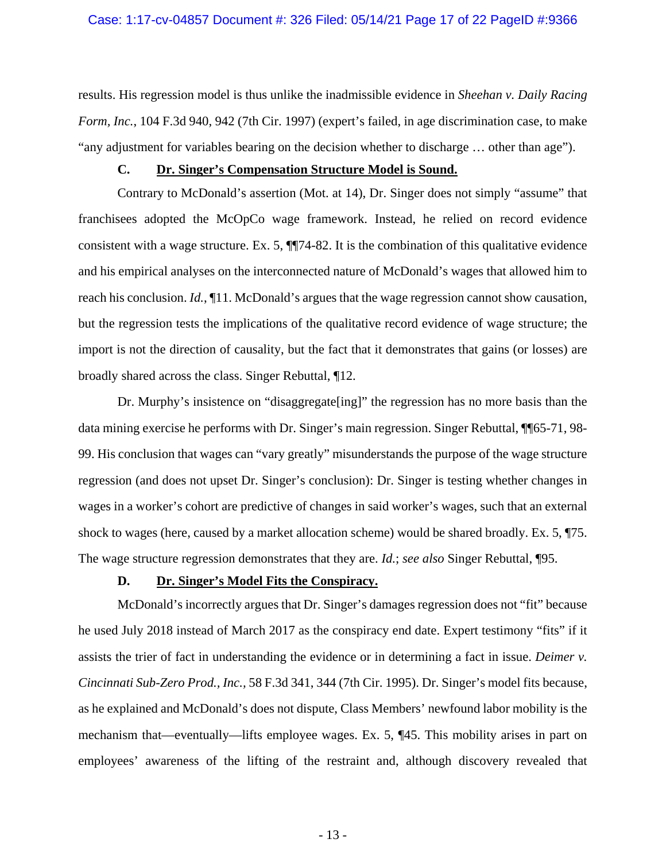results. His regression model is thus unlike the inadmissible evidence in *Sheehan v. Daily Racing Form, Inc.*, 104 F.3d 940, 942 (7th Cir. 1997) (expert's failed, in age discrimination case, to make "any adjustment for variables bearing on the decision whether to discharge … other than age").

### **C. Dr. Singer's Compensation Structure Model is Sound.**

Contrary to McDonald's assertion (Mot. at 14), Dr. Singer does not simply "assume" that franchisees adopted the McOpCo wage framework. Instead, he relied on record evidence consistent with a wage structure. Ex. 5, ¶¶74-82. It is the combination of this qualitative evidence and his empirical analyses on the interconnected nature of McDonald's wages that allowed him to reach his conclusion. *Id.*, ¶11. McDonald's argues that the wage regression cannot show causation, but the regression tests the implications of the qualitative record evidence of wage structure; the import is not the direction of causality, but the fact that it demonstrates that gains (or losses) are broadly shared across the class. Singer Rebuttal, ¶12.

Dr. Murphy's insistence on "disaggregate[ing]" the regression has no more basis than the data mining exercise he performs with Dr. Singer's main regression. Singer Rebuttal, ¶¶65-71, 98- 99. His conclusion that wages can "vary greatly" misunderstands the purpose of the wage structure regression (and does not upset Dr. Singer's conclusion): Dr. Singer is testing whether changes in wages in a worker's cohort are predictive of changes in said worker's wages, such that an external shock to wages (here, caused by a market allocation scheme) would be shared broadly. Ex. 5, ¶75. The wage structure regression demonstrates that they are. *Id.*; *see also* Singer Rebuttal, ¶95.

### **D. Dr. Singer's Model Fits the Conspiracy.**

McDonald's incorrectly argues that Dr. Singer's damages regression does not "fit" because he used July 2018 instead of March 2017 as the conspiracy end date. Expert testimony "fits" if it assists the trier of fact in understanding the evidence or in determining a fact in issue. *Deimer v. Cincinnati Sub-Zero Prod., Inc.,* 58 F.3d 341, 344 (7th Cir. 1995). Dr. Singer's model fits because, as he explained and McDonald's does not dispute, Class Members' newfound labor mobility is the mechanism that—eventually—lifts employee wages. Ex. 5, ¶45. This mobility arises in part on employees' awareness of the lifting of the restraint and, although discovery revealed that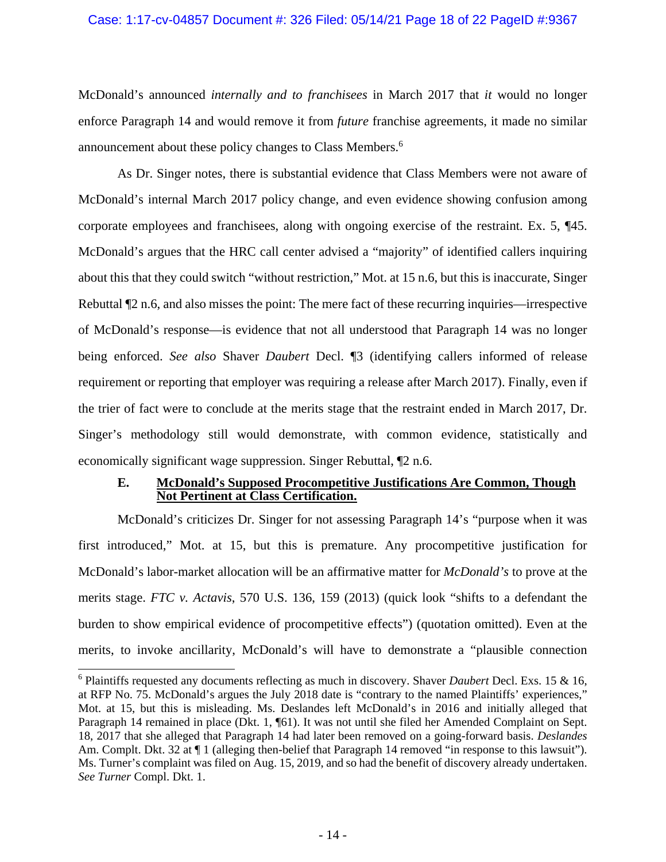#### Case: 1:17-cv-04857 Document #: 326 Filed: 05/14/21 Page 18 of 22 PageID #:9367

McDonald's announced *internally and to franchisees* in March 2017 that *it* would no longer enforce Paragraph 14 and would remove it from *future* franchise agreements, it made no similar announcement about these policy changes to Class Members.<sup>6</sup>

As Dr. Singer notes, there is substantial evidence that Class Members were not aware of McDonald's internal March 2017 policy change, and even evidence showing confusion among corporate employees and franchisees, along with ongoing exercise of the restraint. Ex. 5, ¶45. McDonald's argues that the HRC call center advised a "majority" of identified callers inquiring about this that they could switch "without restriction," Mot. at 15 n.6, but this is inaccurate, Singer Rebuttal  $\mathbb{Z}$  n.6, and also misses the point: The mere fact of these recurring inquiries—irrespective of McDonald's response—is evidence that not all understood that Paragraph 14 was no longer being enforced. *See also* Shaver *Daubert* Decl. ¶3 (identifying callers informed of release requirement or reporting that employer was requiring a release after March 2017). Finally, even if the trier of fact were to conclude at the merits stage that the restraint ended in March 2017, Dr. Singer's methodology still would demonstrate, with common evidence, statistically and economically significant wage suppression. Singer Rebuttal, ¶2 n.6.

### **E. McDonald's Supposed Procompetitive Justifications Are Common, Though Not Pertinent at Class Certification.**

McDonald's criticizes Dr. Singer for not assessing Paragraph 14's "purpose when it was first introduced," Mot. at 15, but this is premature. Any procompetitive justification for McDonald's labor-market allocation will be an affirmative matter for *McDonald's* to prove at the merits stage. *FTC v. Actavis*, 570 U.S. 136, 159 (2013) (quick look "shifts to a defendant the burden to show empirical evidence of procompetitive effects") (quotation omitted). Even at the merits, to invoke ancillarity, McDonald's will have to demonstrate a "plausible connection

 $\overline{\phantom{a}}$ 

<sup>6</sup> Plaintiffs requested any documents reflecting as much in discovery. Shaver *Daubert* Decl. Exs. 15 & 16, at RFP No. 75. McDonald's argues the July 2018 date is "contrary to the named Plaintiffs' experiences," Mot. at 15, but this is misleading. Ms. Deslandes left McDonald's in 2016 and initially alleged that Paragraph 14 remained in place (Dkt. 1, ¶61). It was not until she filed her Amended Complaint on Sept. 18, 2017 that she alleged that Paragraph 14 had later been removed on a going-forward basis. *Deslandes* Am. Complt. Dkt. 32 at  $\P$  1 (alleging then-belief that Paragraph 14 removed "in response to this lawsuit"). Ms. Turner's complaint was filed on Aug. 15, 2019, and so had the benefit of discovery already undertaken. *See Turner* Compl. Dkt. 1.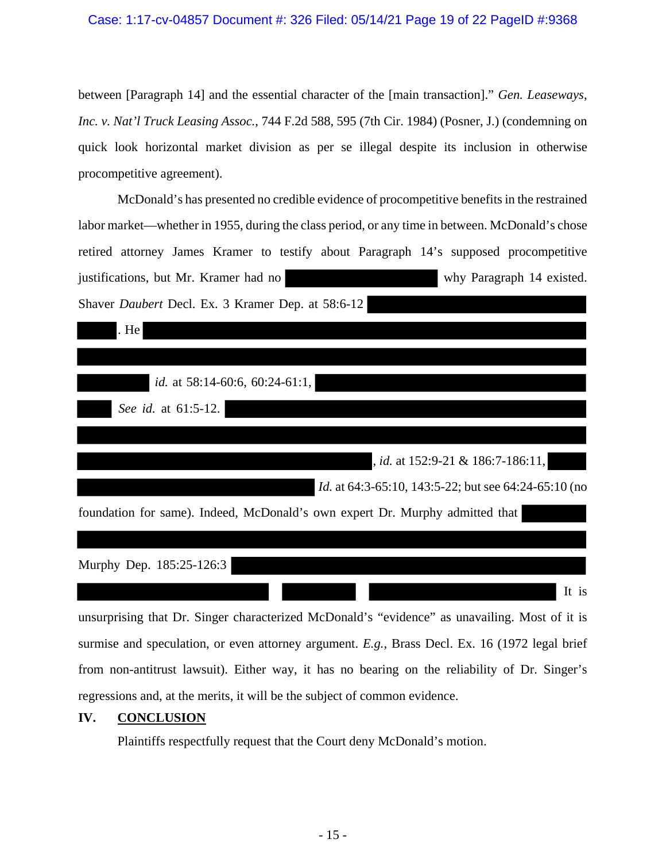### Case: 1:17-cv-04857 Document #: 326 Filed: 05/14/21 Page 19 of 22 PageID #:9368

between [Paragraph 14] and the essential character of the [main transaction]." *Gen. Leaseways, Inc. v. Nat'l Truck Leasing Assoc.*, 744 F.2d 588, 595 (7th Cir. 1984) (Posner, J.) (condemning on quick look horizontal market division as per se illegal despite its inclusion in otherwise procompetitive agreement).

McDonald's has presented no credible evidence of procompetitive benefits in the restrained labor market—whether in 1955, during the class period, or any time in between. McDonald's chose retired attorney James Kramer to testify about Paragraph 14's supposed procompetitive justifications, but Mr. Kramer had no why Paragraph 14 existed. Shaver *Daubert* Decl. Ex. 3 Kramer Dep. at 58:6-12

| . He                                                                         |
|------------------------------------------------------------------------------|
|                                                                              |
| <i>id.</i> at 58:14-60:6, 60:24-61:1,                                        |
| See id. at 61:5-12.                                                          |
|                                                                              |
| <i>id.</i> at 152:9-21 & 186:7-186:11,                                       |
| <i>Id.</i> at 64:3-65:10, 143:5-22; but see 64:24-65:10 (no                  |
| foundation for same). Indeed, McDonald's own expert Dr. Murphy admitted that |
|                                                                              |
| Murphy Dep. 185:25-126:3                                                     |
| It is                                                                        |

unsurprising that Dr. Singer characterized McDonald's "evidence" as unavailing. Most of it is surmise and speculation, or even attorney argument. *E.g.*, Brass Decl. Ex. 16 (1972 legal brief from non-antitrust lawsuit). Either way, it has no bearing on the reliability of Dr. Singer's regressions and, at the merits, it will be the subject of common evidence.

### **IV. CONCLUSION**

Plaintiffs respectfully request that the Court deny McDonald's motion.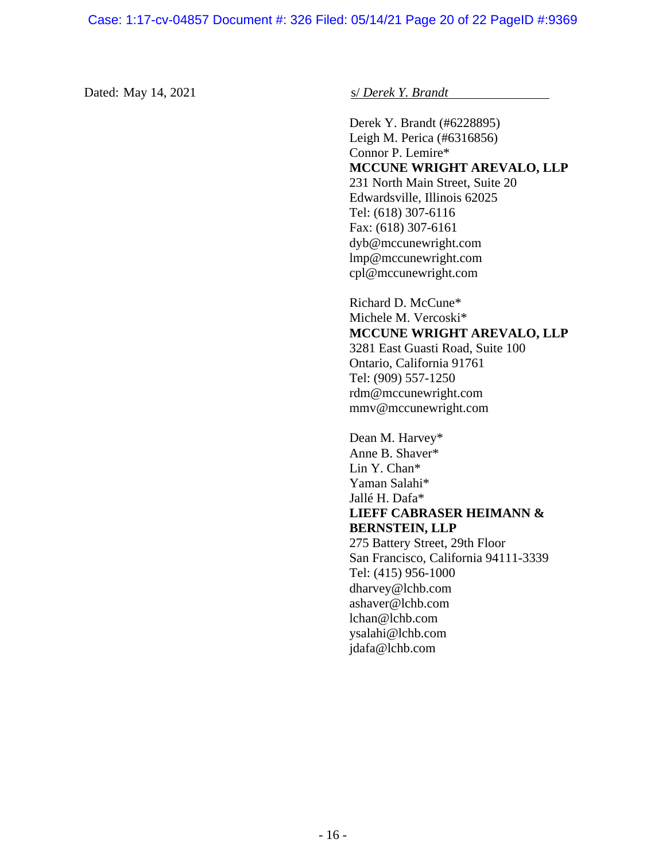Dated: May 14, 2021 **s** *S Derek Y. Brandt* 

 Derek Y. Brandt (#6228895) Leigh M. Perica (#6316856) Connor P. Lemire\* **MCCUNE WRIGHT AREVALO, LLP**  231 North Main Street, Suite 20 Edwardsville, Illinois 62025 Tel: (618) 307-6116 Fax: (618) 307-6161 dyb@mccunewright.com lmp@mccunewright.com cpl@mccunewright.com

Richard D. McCune\* Michele M. Vercoski\* **MCCUNE WRIGHT AREVALO, LLP**  3281 East Guasti Road, Suite 100 Ontario, California 91761

Tel: (909) 557-1250 rdm@mccunewright.com mmv@mccunewright.com

 Dean M. Harvey\* Anne B. Shaver\* Lin Y. Chan\* Yaman Salahi\* Jallé H. Dafa\* **LIEFF CABRASER HEIMANN & BERNSTEIN, LLP**  275 Battery Street, 29th Floor San Francisco, California 94111-3339 Tel: (415) 956-1000 dharvey@lchb.com ashaver@lchb.com lchan@lchb.com ysalahi@lchb.com jdafa@lchb.com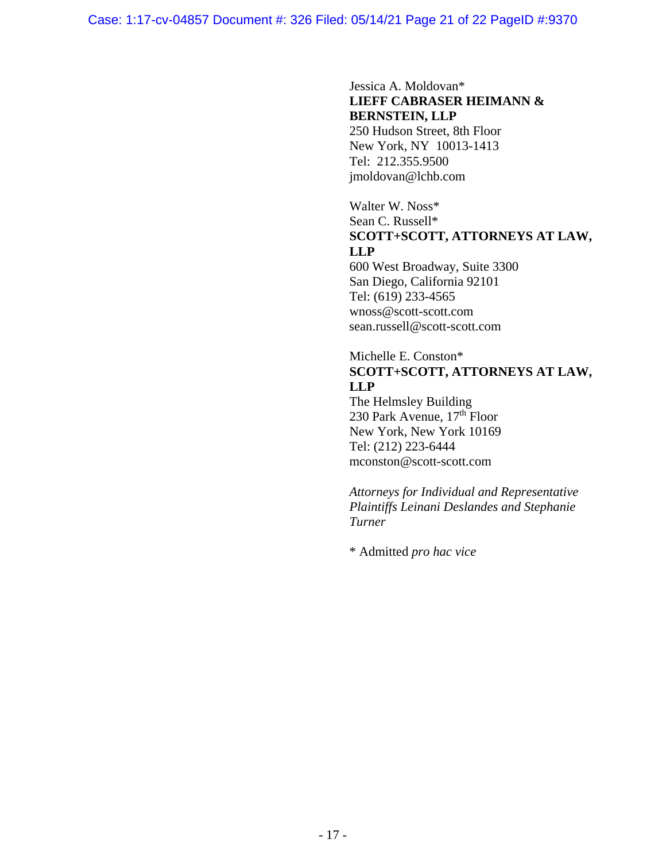### Jessica A. Moldovan\* **LIEFF CABRASER HEIMANN & BERNSTEIN, LLP**  250 Hudson Street, 8th Floor

New York, NY 10013-1413 Tel: 212.355.9500 jmoldovan@lchb.com

## Walter W. Noss\* Sean C. Russell\* **SCOTT+SCOTT, ATTORNEYS AT LAW, LLP**

600 West Broadway, Suite 3300 San Diego, California 92101 Tel: (619) 233-4565 wnoss@scott-scott.com sean.russell@scott-scott.com

### Michelle E. Conston\* **SCOTT+SCOTT, ATTORNEYS AT LAW, LLP**

The Helmsley Building 230 Park Avenue,  $17<sup>th</sup>$  Floor New York, New York 10169 Tel: (212) 223-6444 mconston@scott-scott.com

*Attorneys for Individual and Representative Plaintiffs Leinani Deslandes and Stephanie Turner* 

\* Admitted *pro hac vice*